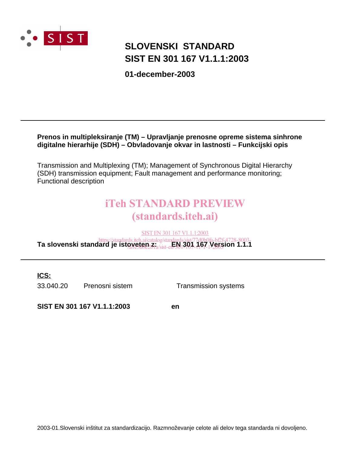

# **SIST EN 301 167 V1.1.1:2003 SLOVENSKI STANDARD**

**01-december-2003**

#### **Prenos in multipleksiranje (TM) – Upravljanje prenosne opreme sistema sinhrone digitalne hierarhije (SDH) – Obvladovanje okvar in lastnosti – Funkcijski opis**

Transmission and Multiplexing (TM); Management of Synchronous Digital Hierarchy (SDH) transmission equipment; Fault management and performance monitoring; Functional description

# iTeh STANDARD PREVIEW (standards.iteh.ai)

SIST EN 301 167 V1.1.1:2003

https://standards.iteh.ai/catalog/standards/sist/77d0b0fa-bf2f-4728-8003-<br>**Ta slovenski standard je istoveten.z:**<sub>a/sist-et</sub>EN,1303-1167-19ersion 1.1.1 **2Y&t@QZ**ia/sist-en-301-2R7-v191-12205

**ICS:**

33.040.20 Prenosni sistem Transmission systems

**SIST EN 301 167 V1.1.1:2003 en**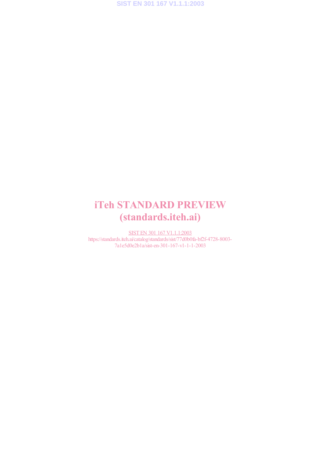# iTeh STANDARD PREVIEW (standards.iteh.ai)

SIST EN 301 167 V1.1.1:2003 https://standards.iteh.ai/catalog/standards/sist/77d0b0fa-bf2f-4728-8003- 7a1e5d0e2b1a/sist-en-301-167-v1-1-1-2003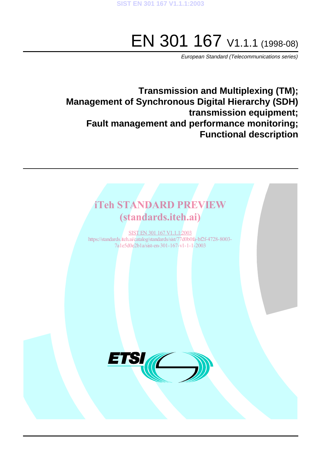# EN 301 167 V1.1.1 (1998-08)

European Standard (Telecommunications series)

**Transmission and Multiplexing (TM); Management of Synchronous Digital Hierarchy (SDH) transmission equipment; Fault management and performance monitoring; Functional description**

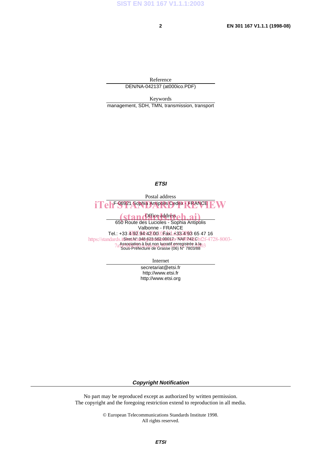Reference DEN/NA-042137 (at000ico.PDF)

Keywords management, SDH, TMN, transmission, transport

#### **ETSI**

Postal address

 $i**T**e<sup>F-069</sup>21$ Sophia Antipolis Cedex **RANC** $**F**W$ 

Office address (standardige address oh ai)

650 Route des Lucioles - Sophia Antipolis Valbonne - FRANCE Tel.: +33 4 92 94 42 00 Fax: +33 4 93 65 47 16 SIST EN 301 167 V1.1.1:2003 https://standards.it**ShetiN°a848 6231562 000916t/NAF0642** Cbf2f-4728-8003-Association à but non lucratif enregistrée à la 7a Association à but non Iucratif enregistree à la<br>Sous-Préfecture de Grasse (06) N° 7803/88

Internet

secretariat@etsi.fr http://www.etsi.fr http://www.etsi.org

**Copyright Notification**

No part may be reproduced except as authorized by written permission. The copyright and the foregoing restriction extend to reproduction in all media.

> © European Telecommunications Standards Institute 1998. All rights reserved.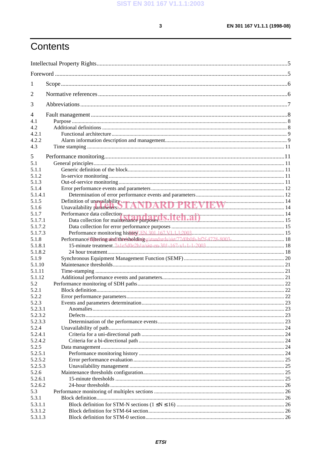$\overline{3}$ 

# Contents

| 1              |                                                                                                                      |  |  |  |
|----------------|----------------------------------------------------------------------------------------------------------------------|--|--|--|
| $\overline{2}$ |                                                                                                                      |  |  |  |
| 3              |                                                                                                                      |  |  |  |
| $\overline{4}$ |                                                                                                                      |  |  |  |
| 4.1            |                                                                                                                      |  |  |  |
| 4.2            |                                                                                                                      |  |  |  |
| 4.2.1          |                                                                                                                      |  |  |  |
| 4.2.2          |                                                                                                                      |  |  |  |
| 4.3            |                                                                                                                      |  |  |  |
| 5              |                                                                                                                      |  |  |  |
| 5.1            |                                                                                                                      |  |  |  |
| 5.1.1          |                                                                                                                      |  |  |  |
| 5.1.2          |                                                                                                                      |  |  |  |
| 5.1.3          |                                                                                                                      |  |  |  |
| 5.1.4          |                                                                                                                      |  |  |  |
| 5.1.4.1        |                                                                                                                      |  |  |  |
| 5.1.5          |                                                                                                                      |  |  |  |
| 5.1.6          | Definition of unavailability<br>Unavailability<br>PREVIEW 14                                                         |  |  |  |
| 5.1.7          |                                                                                                                      |  |  |  |
| 5.1.7.1        | Performance data collection<br>Data collection for maintenance purposes <b>Solution</b> of <b>Example 2014</b><br>15 |  |  |  |
| 5.1.7.2        |                                                                                                                      |  |  |  |
|                |                                                                                                                      |  |  |  |
| 5.1.7.3        |                                                                                                                      |  |  |  |
| 5.1.8          |                                                                                                                      |  |  |  |
| 5.1.8.1        |                                                                                                                      |  |  |  |
| 5.1.8.2        |                                                                                                                      |  |  |  |
| 5.1.9          |                                                                                                                      |  |  |  |
| 5.1.10         |                                                                                                                      |  |  |  |
| 5.1.11         |                                                                                                                      |  |  |  |
| 5.1.12         |                                                                                                                      |  |  |  |
| 5.2            |                                                                                                                      |  |  |  |
| 5.2.1          |                                                                                                                      |  |  |  |
| 5.2.2          |                                                                                                                      |  |  |  |
| 5.2.3          |                                                                                                                      |  |  |  |
| 5.2.3.1        |                                                                                                                      |  |  |  |
| 5.2.3.2        |                                                                                                                      |  |  |  |
| 5.2.3.3        |                                                                                                                      |  |  |  |
| 5.2.4          |                                                                                                                      |  |  |  |
| 5.2.4.1        |                                                                                                                      |  |  |  |
| 5.2.4.2        |                                                                                                                      |  |  |  |
| 5.2.5          |                                                                                                                      |  |  |  |
| 5.2.5.1        |                                                                                                                      |  |  |  |
| 5.2.5.2        |                                                                                                                      |  |  |  |
| 5.2.5.3        |                                                                                                                      |  |  |  |
| 5.2.6          |                                                                                                                      |  |  |  |
| 5.2.6.1        |                                                                                                                      |  |  |  |
| 5.2.6.2        |                                                                                                                      |  |  |  |
| 5.3            |                                                                                                                      |  |  |  |
| 5.3.1          |                                                                                                                      |  |  |  |
| 5.3.1.1        |                                                                                                                      |  |  |  |
| 5.3.1.2        |                                                                                                                      |  |  |  |
|                |                                                                                                                      |  |  |  |
| 5.3.1.3        |                                                                                                                      |  |  |  |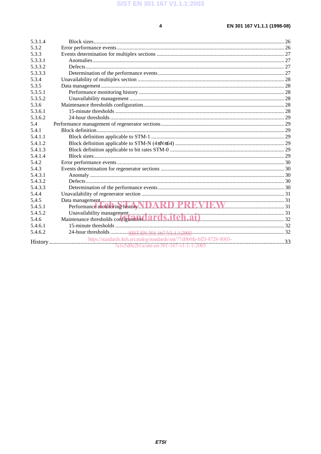$\overline{\mathbf{4}}$ 

#### EN 301 167 V1.1.1 (1998-08)

| 5.3.1.4 |                                                                           |  |
|---------|---------------------------------------------------------------------------|--|
| 5.3.2   |                                                                           |  |
| 5.3.3   |                                                                           |  |
| 5.3.3.1 |                                                                           |  |
| 5.3.3.2 |                                                                           |  |
| 5.3.3.3 |                                                                           |  |
| 5.3.4   |                                                                           |  |
| 5.3.5   |                                                                           |  |
| 5.3.5.1 |                                                                           |  |
| 5.3.5.2 |                                                                           |  |
| 5.3.6   |                                                                           |  |
| 5.3.6.1 |                                                                           |  |
| 5.3.6.2 |                                                                           |  |
| 5.4     |                                                                           |  |
| 5.4.1   |                                                                           |  |
| 5.4.1.1 |                                                                           |  |
| 5.4.1.2 |                                                                           |  |
| 5.4.1.3 |                                                                           |  |
| 5.4.1.4 |                                                                           |  |
| 5.4.2   |                                                                           |  |
| 5.4.3   |                                                                           |  |
| 5.4.3.1 |                                                                           |  |
| 5.4.3.2 |                                                                           |  |
| 5.4.3.3 |                                                                           |  |
| 5.4.4   |                                                                           |  |
| 5,4.5   |                                                                           |  |
| 5.4.5.1 | Data management<br>Performance monitoring history NDARD PREVIEW 2008      |  |
| 5.4.5.2 |                                                                           |  |
| 5.4.6   |                                                                           |  |
| 5.4.6.1 |                                                                           |  |
| 5.4.6.2 |                                                                           |  |
|         | https://standards.iteh.ai/catalog/standards/sist/77d0b0fa-bf2f-4728-8003- |  |
|         |                                                                           |  |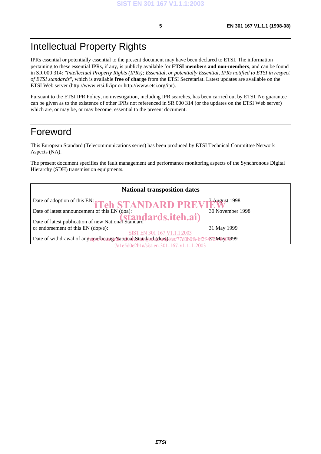## Intellectual Property Rights

IPRs essential or potentially essential to the present document may have been declared to ETSI. The information pertaining to these essential IPRs, if any, is publicly available for **ETSI members and non-members**, and can be found in SR 000 314: *"Intellectual Property Rights (IPRs); Essential, or potentially Essential, IPRs notified to ETSI in respect of ETSI standards"*, which is available **free of charge** from the ETSI Secretariat. Latest updates are available on the ETSI Web server (http://www.etsi.fr/ipr or http://www.etsi.org/ipr).

Pursuant to the ETSI IPR Policy, no investigation, including IPR searches, has been carried out by ETSI. No guarantee can be given as to the existence of other IPRs not referenced in SR 000 314 (or the updates on the ETSI Web server) which are, or may be, or may become, essential to the present document.

### Foreword

This European Standard (Telecommunications series) has been produced by ETSI Technical Committee Network Aspects (NA).

The present document specifies the fault management and performance monitoring aspects of the Synchronous Digital Hierarchy (SDH) transmission equipments.

| <b>National transposition dates</b>                                                                                                                                                          |                  |  |
|----------------------------------------------------------------------------------------------------------------------------------------------------------------------------------------------|------------------|--|
| Date of adoption of this EN: <b>ITCH STANDARD PREVIEW</b> 1998<br>Date of latest announcement of this EN (doa):<br>Date of latest publication of new National Standard <b>ards.iteh.ai</b> ) | 30 November 1998 |  |
| or endorsement of this EN (dop/e):<br>SIST EN 301 167 V1.1.1:2003                                                                                                                            | 31 May 1999      |  |
| Date of withdrawal of any conflicting National Standard (dow):sist/77d0b0fa-bf2f-47DMay01999<br>lo LahdDa')h Loleiet an                                                                      |                  |  |

7a1e5d0e2b1a/sist-en-301-167-v1-1-1-2003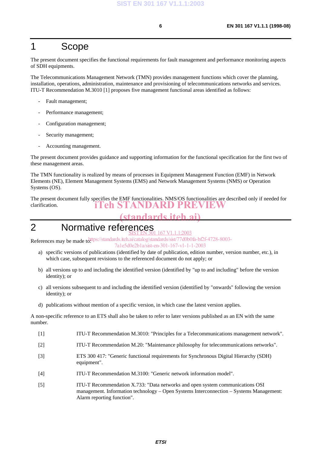#### 1 Scope

The present document specifies the functional requirements for fault management and performance monitoring aspects of SDH equipments.

The Telecommunications Management Network (TMN) provides management functions which cover the planning, installation, operations, administration, maintenance and provisioning of telecommunications networks and services. ITU-T Recommendation M.3010 [1] proposes five management functional areas identified as follows:

- Fault management;
- Performance management;
- Configuration management;
- Security management;
- Accounting management.

The present document provides guidance and supporting information for the functional specification for the first two of these management areas.

The TMN functionality is realized by means of processes in Equipment Management Function (EMF) in Network Elements (NE), Element Management Systems (EMS) and Network Management Systems (NMS) or Operation Systems (OS).

The present document fully specifies the EMF functionalities. NMS/OS functionalities are described only if needed for clarification. iTeh STANDARD PREVIEW

#### (standards.iteh.ai)

#### 2 Normative references SIST EN 301 167 V1.1.1:2003

References may be made to: https://standards.iteh.ai/catalog/standards/sist/77d0b0fa-bf2f-4728-8003-

- a) specific versions of publications (identified by date of publication, edition number, version number, etc.), in which case, subsequent revisions to the referenced document do not apply; or 7a1e5d0e2b1a/sist-en-301-167-v1-1-1-2003
	- b) all versions up to and including the identified version (identified by "up to and including" before the version identity); or
	- c) all versions subsequent to and including the identified version (identified by "onwards" following the version identity); or
	- d) publications without mention of a specific version, in which case the latest version applies.

A non-specific reference to an ETS shall also be taken to refer to later versions published as an EN with the same number.

- [1] ITU-T Recommendation M.3010: "Principles for a Telecommunications management network".
- [2] ITU-T Recommendation M.20: "Maintenance philosophy for telecommunications networks".
- [3] ETS 300 417: "Generic functional requirements for Synchronous Digital Hierarchy (SDH) equipment".
- [4] ITU-T Recommendation M.3100: "Generic network information model".
- [5] ITU-T Recommendation X.733: "Data networks and open system communications OSI management. Information technology – Open Systems Interconnection – Systems Management: Alarm reporting function".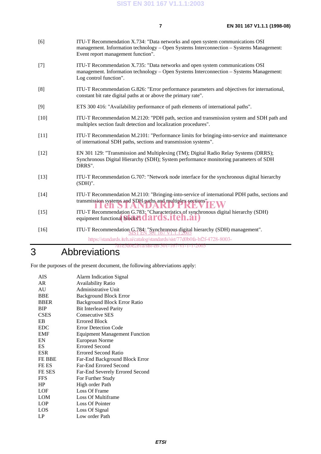| $[7]$<br>ITU-T Recommendation X.735: "Data networks and open system communications OSI                                                                                                           |
|--------------------------------------------------------------------------------------------------------------------------------------------------------------------------------------------------|
| management. Information technology – Open Systems Interconnection – Systems Management:<br>Log control function".                                                                                |
| [8]<br>ITU-T Recommendation G.826: "Error performance parameters and objectives for international,<br>constant bit rate digital paths at or above the primary rate".                             |
| [9]<br>ETS 300 416: "Availability performance of path elements of international paths".                                                                                                          |
| $[10]$<br>ITU-T Recommendation M.2120: "PDH path, section and transmission system and SDH path and<br>multiplex section fault detection and localization procedures".                            |
| ITU-T Recommendation M.2101: "Performance limits for bringing-into-service and maintenance<br>$[11]$<br>of international SDH paths, sections and transmission systems".                          |
| EN 301 129: "Transmission and Multiplexing (TM); Digital Radio Relay Systems (DRRS);<br>$[12]$<br>Synchronous Digital Hierarchy (SDH); System performance monitoring parameters of SDH<br>DRRS". |
| ITU-T Recommendation G.707: "Network node interface for the synchronous digital hierarchy<br>$[13]$<br>$(SDH)$ ".                                                                                |
| ITU-T Recommendation M.2110: "Bringing-into-service of international PDH paths, sections and<br>$[14]$<br>transmission systems and SDH paths and multiplex sections".                            |
| ITU-T Recommendation G.783: "Characteristics of synchronous digital hierarchy (SDH)<br>$[15]$<br>equipment functional bloast dards.itch.ai)                                                      |
| ITU-T Recommendation G.784: "Synchronous digital hierarchy (SDH) management".<br>$[16]$                                                                                                          |
| https://standards.iteh.ai/catalog/standards/sist/77d0b0fa-bf2f-4728-8003-<br>7a1e5d0e2b1a/sist-en-301-167-y1-1-1-2003                                                                            |

# 3 Abbreviations

For the purposes of the present document, the following abbreviations apply:

| AIS           | Alarm Indication Signal              |
|---------------|--------------------------------------|
| AR            | Availability Ratio                   |
| AU            | Administrative Unit                  |
| <b>BBE</b>    | <b>Background Block Error</b>        |
| <b>BBER</b>   | Background Block Error Ratio         |
| <b>BIP</b>    | <b>Bit Interleaved Parity</b>        |
| <b>CSES</b>   | <b>Consecutive SES</b>               |
| EB            | Errored Block                        |
| <b>EDC</b>    | <b>Error Detection Code</b>          |
| <b>EMF</b>    | <b>Equipment Management Function</b> |
| EN            | European Norme                       |
| ES            | <b>Errored Second</b>                |
| <b>ESR</b>    | Errored Second Ratio                 |
| FE BBE        | Far-End Background Block Error       |
| FE ES         | Far-End Errored Second               |
| <b>FE SES</b> | Far-End Severely Errored Second      |
| <b>FFS</b>    | For Further Study                    |
| HP            | High order Path                      |
| LOF           | Loss Of Frame                        |
| LOM           | <b>Loss Of Multiframe</b>            |
| <b>LOP</b>    | <b>Loss Of Pointer</b>               |
| LOS           | Loss Of Signal                       |
| LP            | Low order Path                       |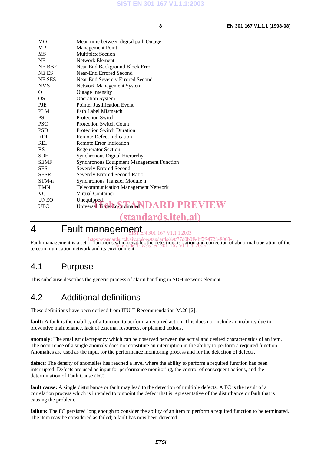| МO            | Mean time between digital path Outage            |
|---------------|--------------------------------------------------|
| MP            | <b>Management Point</b>                          |
| MS            | Multiplex Section                                |
| <b>NE</b>     | Network Element                                  |
| <b>NE BBE</b> | Near-End Background Block Error                  |
| NE ES         | Near-End Errored Second                          |
| <b>NE SES</b> | Near-End Severely Errored Second                 |
| <b>NMS</b>    | Network Management System                        |
| ΟI            | <b>Outage Intensity</b>                          |
| <b>OS</b>     | <b>Operation System</b>                          |
| PJE           | <b>Pointer Justification Event</b>               |
| <b>PLM</b>    | Path Label Mismatch                              |
| <b>PS</b>     | <b>Protection Switch</b>                         |
| <b>PSC</b>    | <b>Protection Switch Count</b>                   |
| <b>PSD</b>    | <b>Protection Switch Duration</b>                |
| <b>RDI</b>    | <b>Remote Defect Indication</b>                  |
| REI           | <b>Remote Error Indication</b>                   |
| <b>RS</b>     | <b>Regenerator Section</b>                       |
| <b>SDH</b>    | <b>Synchronous Digital Hierarchy</b>             |
| <b>SEMF</b>   | <b>Synchronous Equipment Management Function</b> |
| <b>SES</b>    | Severely Errored Second                          |
| <b>SESR</b>   | Severely Errored Second Ratio                    |
| STM-n         | Synchronous Transfer Module n                    |
| <b>TMN</b>    | <b>Telecommunication Management Network</b>      |
| <b>VC</b>     | <b>Virtual Container</b>                         |
| <b>UNEQ</b>   | Unequipped                                       |
| <b>UTC</b>    | Universal Time Co-ordinated <b>DARD PREVIE</b>   |
|               | (standards.iteh.ai)                              |

# 4 Fault management 167 V1.1.12003

**https://standards.iteh.ai/catalog/standards/sist/77d0b0fa-bf2f-4728-8003-**<br>Fault management is a set of functions which enables the detection, isolation and correction of abnormal operation of the telecommunication network and its environment. 7a1e5d0e2b1a/sist-en-301-167-v1-1-1-2003

#### 4.1 Purpose

This subclause describes the generic process of alarm handling in SDH network element.

#### 4.2 Additional definitions

These definitions have been derived from ITU-T Recommendation M.20 [2].

**fault:** A fault is the inability of a function to perform a required action. This does not include an inability due to preventive maintenance, lack of external resources, or planned actions.

**anomaly:** The smallest discrepancy which can be observed between the actual and desired characteristics of an item. The occurrence of a single anomaly does not constitute an interruption in the ability to perform a required function. Anomalies are used as the input for the performance monitoring process and for the detection of defects.

**defect:** The density of anomalies has reached a level where the ability to perform a required function has been interrupted. Defects are used as input for performance monitoring, the control of consequent actions, and the determination of Fault Cause (FC).

**fault cause:** A single disturbance or fault may lead to the detection of multiple defects. A FC is the result of a correlation process which is intended to pinpoint the defect that is representative of the disturbance or fault that is causing the problem.

**failure:** The FC persisted long enough to consider the ability of an item to perform a required function to be terminated. The item may be considered as failed; a fault has now been detected.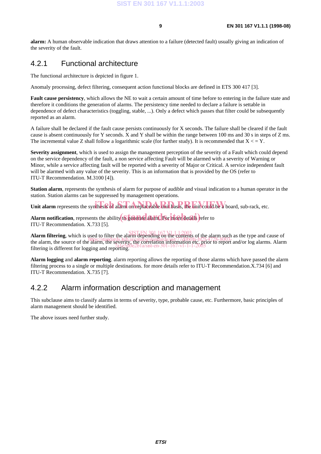**alarm:** A human observable indication that draws attention to a failure (detected fault) usually giving an indication of the severity of the fault.

#### 4.2.1 Functional architecture

The functional architecture is depicted in figure 1.

Anomaly processing, defect filtering, consequent action functional blocks are defined in ETS 300 417 [3].

**Fault cause persistency**, which allows the NE to wait a certain amount of time before to entering in the failure state and therefore it conditions the generation of alarms. The persistency time needed to declare a failure is settable in dependence of defect characteristics (toggling, stable, ...). Only a defect which passes that filter could be subsequently reported as an alarm.

A failure shall be declared if the fault cause persists continuously for X seconds. The failure shall be cleared if the fault cause is absent continuously for Y seconds. X and Y shall be within the range between 100 ms and 30 s in steps of  $Z$  ms. The incremental value Z shall follow a logarithmic scale (for further study). It is recommended that  $X \leq Y$ .

**Severity assignment**, which is used to assign the management perception of the severity of a Fault which could depend on the service dependency of the fault, a non service affecting Fault will be alarmed with a severity of Warning or Minor, while a service affecting fault will be reported with a severity of Major or Critical. A service independent fault will be alarmed with any value of the severity. This is an information that is provided by the OS (refer to ITU-T Recommendation. M.3100 [4]).

**Station alarm**, represents the synthesis of alarm for purpose of audible and visual indication to a human operator in the station. Station alarms can be suppressed by management operations.

Unit alarm represents the synthesis of alarm on replaceable unit basis, the unit could be a board, sub-rack, etc.

Alarm notification, represents the ability to generate alarm. For more details efer to ITU-T Recommendation. X.733 [5].

Alarm filtering, which is used to filter the alarm depending on the contents of the alarm such as the type and cause of the alarm, the source of the alarm, the severity, the correlation information etc. prior to report and/or log alarms. Alarm<br>the alarm, the source of the alarm, the severity, the correlation information etc. prior to repor filtering is different for logging and reporting. 7a1e5d0e2b1a/sist-en-301-167-v1-1-1-2003

**Alarm logging** and **alarm reporting**. alarm reporting allows the reporting of those alarms which have passed the alarm filtering process to a single or multiple destinations. for more details refer to ITU-T Recommendation.X.734 [6] and ITU-T Recommendation. X.735 [7].

#### 4.2.2 Alarm information description and management

This subclause aims to classify alarms in terms of severity, type, probable cause, etc. Furthermore, basic principles of alarm management should be identified.

The above issues need further study.